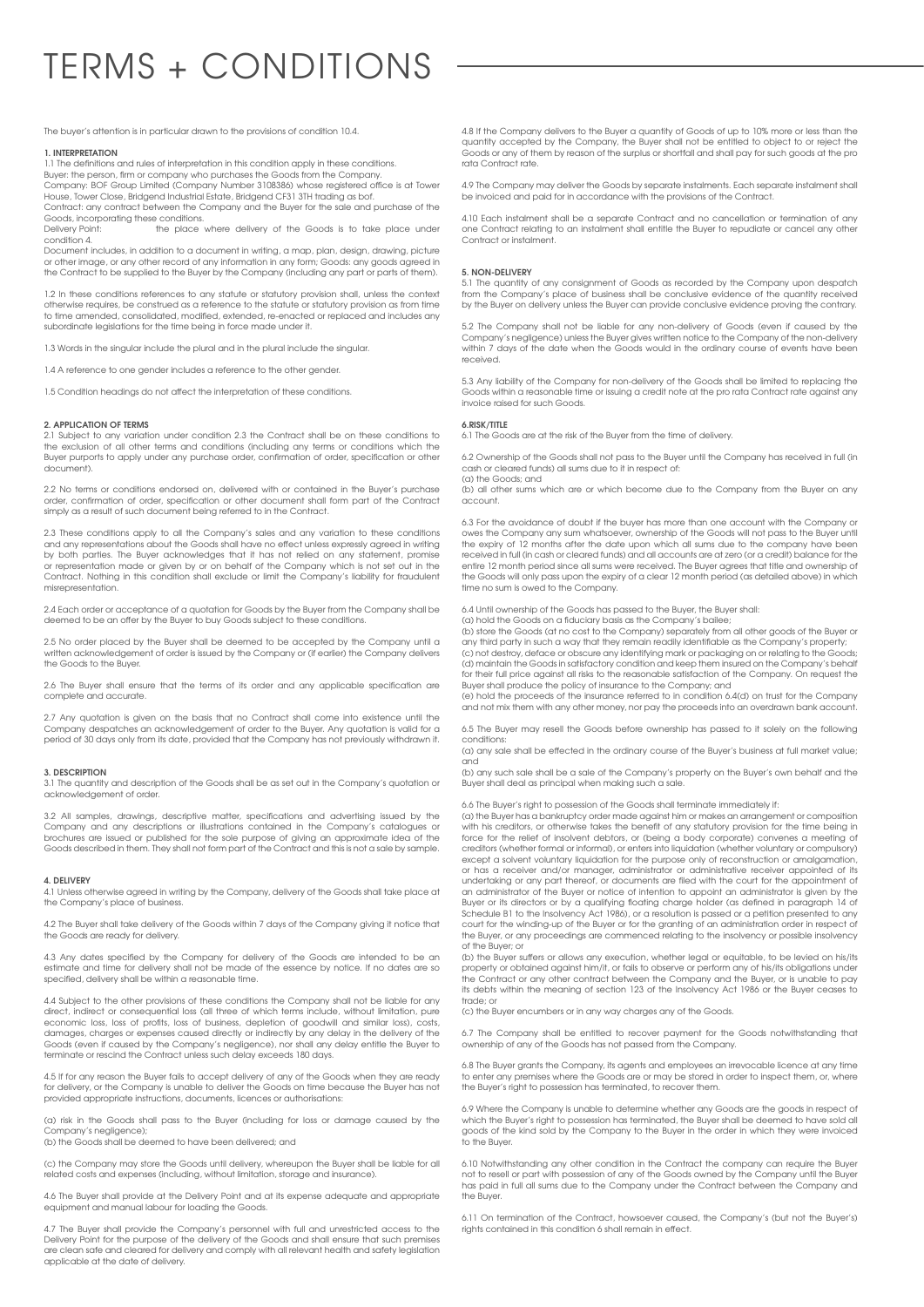# TERMS + CONDITIONS

The buyer's attention is in particular drawn to the provisions of condition 10.4.

## **1. INTERPRETATION**

1.1 The definitions and rules of interpretation in this condition apply in these conditions. Buyer: the person, firm or company who purchases the Goods from the Company. Company: BOF Group Limited (Company Number 3108386) whose registered office is at Tower

House, Tower Close, Bridgend Industrial Estate, Bridgend CF31 3TH trading as bof. Contract: any contract between the Company and the Buyer for the sale and purchase of the

Goods, incorporating these conditions.<br>Delivery Point: the place the place where delivery of the Goods is to take place under condition 4.

Document includes, in addition to a document in writing, a map, plan, design, drawing, picture or other image, or any other record of any information in any form; Goods: any goods agreed in the Contract to be supplied to the Buyer by the Company (including any part or parts of them).

1.2 In these conditions references to any statute or statutory provision shall, unless the context otherwise requires, be construed as a reference to the statute or statutory provision as from time to time amended, consolidated, modified, extended, re-enacted or replaced and includes any subordinate legislations for the time being in force made under it.

1.3 Words in the singular include the plural and in the plural include the singular.

1.4 A reference to one gender includes a reference to the other gender.

1.5 Condition headings do not affect the interpretation of these conditions.

#### **2. APPLICATION OF TERMS**

2.1 Subject to any variation under condition 2.3 the Contract shall be on these conditions to the exclusion of all other terms and conditions (including any terms or conditions which the Buyer purports to apply under any purchase order, confirmation of order, specification or other document).

2.2 No terms or conditions endorsed on, delivered with or contained in the Buyer's purchase order, confirmation of order, specification or other document shall form part of the Contract simply as a result of such document being referred to in the Contract.

2.3 These conditions apply to all the Company's sales and any variation to these conditions and any representations about the Goods shall have no effect unless expressly agreed in writing by both parties. The Buyer acknowledges that it has not relied on any statement, promise<br>or representation made or given by or on behalf of the Company which is not set out in the<br>Contract. Nothing in this condition shall misrepresentation.

2.4 Each order or acceptance of a quotation for Goods by the Buyer from the Company shall be deemed to be an offer by the Buyer to buy Goods subject to these conditions.

2.5 No order placed by the Buyer shall be deemed to be accepted by the Company until a written acknowledgement of order is issued by the Company or (if earlier) the Company delivers the Goods to the Buyer.

2.6 The Buyer shall ensure that the terms of its order and any applicable specification are plete and accurate

2.7 Any quotation is given on the basis that no Contract shall come into existence until the Company despatches an acknowledgement of order to the Buyer. Any quotation is valid for a period of 30 days only from its date, provided that the Company has not previously withdrawn it.

## **3. DESCRIPTION**

3.1 The quantity and description of the Goods shall be as set out in the Company's quotation or acknowledgement of order.

3.2 All samples, drawings, descriptive matter, specifications and advertising issued by the Company and any descriptions or illustrations contained in the Company's catalogues or brochures are issued or published for the sole purpose of giving an approximate idea of the Goods described in them. They shall not form part of the Contract and this is not a sale by sample.

## **4. DELIVERY**

4.1 Unless otherwise agreed in writing by the Company, delivery of the Goods shall take place at the Company's place of business.

4.2 The Buyer shall take delivery of the Goods within 7 days of the Company giving it notice that the Goods are ready for delivery.

4.3 Any dates specified by the Company for delivery of the Goods are intended to be an estimate and time for delivery shall not be made of the essence by notice. If no dates are so specified, delivery shall be within a reasonable time.

4.4 Subject to the other provisions of these conditions the Company shall not be liable for any direct, indirect or consequential loss (all three of which terms include, without limitation, pure economic loss, loss of profits, loss of business, depletion of goodwill and similar loss), costs, damages, charges or expenses caused directly or indirectly by any delay in the delivery of the Goods (even if caused by the Company's negligence), nor shall any delay entitle the Buyer to terminate or rescind the Contract unless such delay exceeds 180 days.

4.5 If for any reason the Buyer fails to accept delivery of any of the Goods when they are ready for delivery, or the Company is unable to deliver the Goods on time because the Buyer has not provided appropriate instructions, documents, licences or authorisations:

(a) risk in the Goods shall pass to the Buyer (including for loss or damage caused by the Company's negligence); (b) the Goods shall be deemed to have been delivered; and

(c) the Company may store the Goods until delivery, whereupon the Buyer shall be liable for all related costs and expenses (including, without limitation, storage and insurance).

4.6 The Buyer shall provide at the Delivery Point and at its expense adequate and appropriate equipment and manual labour for loading the Goods.

4.7 The Buyer shall provide the Company's personnel with full and unrestricted access to the Delivery Point for the purpose of the delivery of the Goods and shall ensure that such premises are clean safe and cleared for delivery and comply with all relevant health and safety legislation applicable at the date of delivery.

4.8 If the Company delivers to the Buyer a quantity of Goods of up to 10% more or less than the quantity accepted by the Company, the Buyer shall not be entitled to object to or reject the Goods or any of them by reason of the surplus or shortfall and shall pay for such goods at the pro rata Contract rate.

4.9 The Company may deliver the Goods by separate instalments. Each separate instalment shall be invoiced and paid for in accordance with the provisions of the Contract.

4.10 Each instalment shall be a separate Contract and no cancellation or termination of any one Contract relating to an instalment shall entitle the Buyer to repudiate or cancel any other Contract or instalment.

#### **5. NON-DELIVERY**

5.1 The quantity of any consignment of Goods as recorded by the Company upon despatch from the Company's place of business shall be conclusive evidence of the quantity received by the Buyer on delivery unless the Buyer can provide conclusive evidence proving the contrary.

5.2 The Company shall not be liable for any non-delivery of Goods (even if caused by the Company's negligence) unless the Buyer gives written notice to the Company of the non-delivery within 7 days of the date when the Goods would in the ordinary course of events have been received.

5.3 Any liability of the Company for non-delivery of the Goods shall be limited to replacing the Goods within a reasonable time or issuing a credit note at the pro rata Contract rate against any invoice raised for such Goods.

## **6.RISK/TITLE**

The Goods are at the risk of the Buyer from the time of delivery.

6.2 Ownership of the Goods shall not pass to the Buyer until the Company has received in full (in cash or cleared funds) all sums due to it in respect of: (a) the Goods; and

(b) all other sums which are or which become due to the Company from the Buyer on any account.

6.3 For the avoidance of doubt if the buyer has more than one account with the Company or owes the Company any sum whatsoever, ownership of the Goods will not pass to the Buyer until the expiry of 12 months after the date upon which all sums due to the company have been received in full (in cash or cleared funds) and all accounts are at zero (or a credit) balance for the entire 12 month period since all sums were received. The Buyer agrees that title and ownership of the Goods will only pass upon the expiry of a clear 12 month period (as detailed above) in which time no sum is owed to the Company.

6.4 Until ownership of the Goods has passed to the Buyer, the Buyer shall: (a) hold the Goods on a fiduciary basis as the Company's bailee;

(b) store the Goods (at no cost to the Company) separately from all other goods of the Buyer or any third party in such a way that they remain readily identifiable as the Company's property;

(c) not destroy, deface or obscure any identifying mark or packaging on or relating to the Goods; (d) maintain the Goods in satisfactory condition and keep them insured on the Company's behalf for their full price against all risks to the reasonable satisfaction of the Company. On request the Buyer shall produce the policy of insurance to the Company; and

(e) hold the proceeds of the insurance referred to in condition 6.4(d) on trust for the Company and not mix them with any other money, nor pay the proceeds into an overdrawn bank account.

6.5 The Buyer may resell the Goods before ownership has passed to it solely on the following conditions:

(a) any sale shall be effected in the ordinary course of the Buyer's business at full market value;

and (b) any such sale shall be a sale of the Company's property on the Buyer's own behalf and the Buyer shall deal as principal when making such a sale.

6.6 The Buyer's right to possession of the Goods shall terminate immediately if:

(a) the Buyer has a bankruptcy order made against him or makes an arrangement or composition with his creditors, or otherwise takes the benefit of any statutory provision for the time being in force for the relief of insolvent debtors, or (being a body corporate) convenes a meeting of creditors (whether formal or informal), or enters into liquidation (whether voluntary or compulsory) except a solvent voluntary liquidation for the purpose only of reconstruction or amalgamation, or has a receiver and/or manager, administrator or administrative receiver appointed of its undertaking or any part thereof, or documents are filed with the court for the appointment of an administrator of the Buyer or notice of intention to appoint an administrator is given by the Buyer or its directors or by a qualifying floating charge holder (as defined in paragraph 14 of<br>Schedule B1 to the Insolvency Act 1986), or a resolution is passed or a petition presented to any<br>court for the winding-up of the Buyer, or any proceedings are commenced relating to the insolvency or possible insolvency of the Buyer; or

(b) the Buyer suffers or allows any execution, whether legal or equitable, to be levied on his/its property or obtained against him/it, or fails to observe or perform any of his/its obligations under the Contract or any other contract between the Company and the Buyer, or is unable to pay its debts within the meaning of section 123 of the Insolvency Act 1986 or the Buyer ceases to trade; c

(c) the Buyer encumbers or in any way charges any of the Goods.

6.7 The Company shall be entitled to recover payment for the Goods notwithstanding that ownership of any of the Goods has not passed from the Company.

6.8 The Buyer grants the Company, its agents and employees an irrevocable licence at any time to enter any premises where the Goods are or may be stored in order to inspect them, or, where the Buyer's right to possession has terminated, to recover them.

6.9 Where the Company is unable to determine whether any Goods are the goods in respect of which the Buyer's right to possession has terminated, the Buyer shall be deemed to have sold all goods of the kind sold by the Company to the Buyer in the order in which they were invoiced to the Buyer.

6.10 Notwithstanding any other condition in the Contract the company can require the Buyer not to resell or part with possession of any of the Goods owned by the Company until the Buyer has paid in full all sums due to the Company under the Contract between the Company and the Buyer.

6.11 On termination of the Contract, howsoever caused, the Company's (but not the Buyer's) rights contained in this condition 6 shall remain in effect.